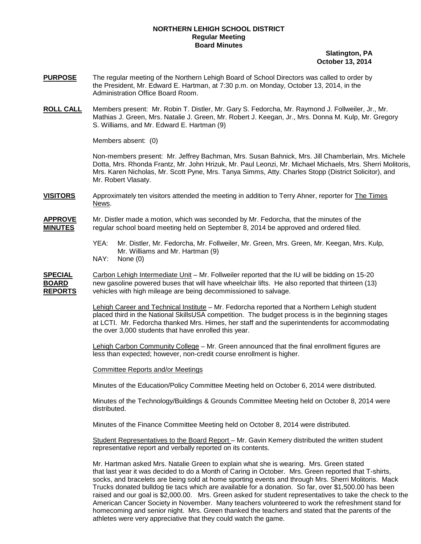## **NORTHERN LEHIGH SCHOOL DISTRICT Regular Meeting Board Minutes**

 **Slatington, PA October 13, 2014**

- **PURPOSE** The regular meeting of the Northern Lehigh Board of School Directors was called to order by the President, Mr. Edward E. Hartman, at 7:30 p.m. on Monday, October 13, 2014, in the Administration Office Board Room.
- **ROLL CALL** Members present: Mr. Robin T. Distler, Mr. Gary S. Fedorcha, Mr. Raymond J. Follweiler, Jr., Mr. Mathias J. Green, Mrs. Natalie J. Green, Mr. Robert J. Keegan, Jr., Mrs. Donna M. Kulp, Mr. Gregory S. Williams, and Mr. Edward E. Hartman (9)

Members absent: (0)

Non-members present: Mr. Jeffrey Bachman, Mrs. Susan Bahnick, Mrs. Jill Chamberlain, Mrs. Michele Dotta, Mrs. Rhonda Frantz, Mr. John Hrizuk, Mr. Paul Leonzi, Mr. Michael Michaels, Mrs. Sherri Molitoris, Mrs. Karen Nicholas, Mr. Scott Pyne, Mrs. Tanya Simms, Atty. Charles Stopp (District Solicitor), and Mr. Robert Vlasaty.

**VISITORS** Approximately ten visitors attended the meeting in addition to Terry Ahner, reporter for The Times News.

**APPROVE** Mr. Distler made a motion, which was seconded by Mr. Fedorcha, that the minutes of the **MINUTES** regular school board meeting held on September 8, 2014 be approved and ordered filed.

- YEA: Mr. Distler, Mr. Fedorcha, Mr. Follweiler, Mr. Green, Mrs. Green, Mr. Keegan, Mrs. Kulp, Mr. Williams and Mr. Hartman (9)
- NAY: None (0)

**SPECIAL** Carbon Lehigh Intermediate Unit – Mr. Follweiler reported that the IU will be bidding on 15-20 **BOARD** new gasoline powered buses that will have wheelchair lifts. He also reported that thirteen (13) **REPORTS** vehicles with high mileage are being decommissioned to salvage.

> Lehigh Career and Technical Institute – Mr. Fedorcha reported that a Northern Lehigh student placed third in the National SkillsUSA competition. The budget process is in the beginning stages at LCTI. Mr. Fedorcha thanked Mrs. Himes, her staff and the superintendents for accommodating the over 3,000 students that have enrolled this year.

<u>Lehigh Carbon Community College</u> – Mr. Green announced that the final enrollment figures are less than expected; however, non-credit course enrollment is higher.

Committee Reports and/or Meetings

Minutes of the Education/Policy Committee Meeting held on October 6, 2014 were distributed.

Minutes of the Technology/Buildings & Grounds Committee Meeting held on October 8, 2014 were distributed.

Minutes of the Finance Committee Meeting held on October 8, 2014 were distributed.

Student Representatives to the Board Report – Mr. Gavin Kemery distributed the written student representative report and verbally reported on its contents.

Mr. Hartman asked Mrs. Natalie Green to explain what she is wearing. Mrs. Green stated that last year it was decided to do a Month of Caring in October. Mrs. Green reported that T-shirts, socks, and bracelets are being sold at home sporting events and through Mrs. Sherri Molitoris. Mack Trucks donated bulldog tie tacs which are available for a donation. So far, over \$1,500.00 has been raised and our goal is \$2,000.00. Mrs. Green asked for student representatives to take the check to the American Cancer Society in November. Many teachers volunteered to work the refreshment stand for homecoming and senior night. Mrs. Green thanked the teachers and stated that the parents of the athletes were very appreciative that they could watch the game.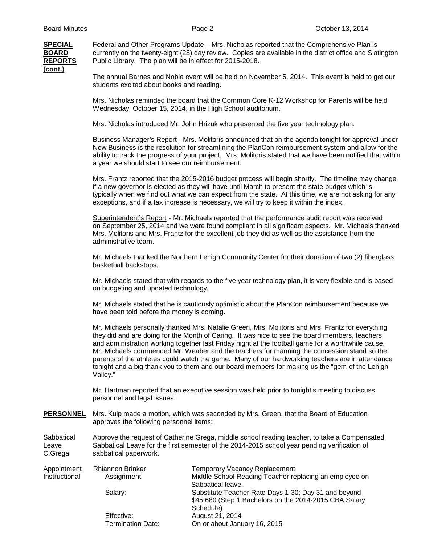**SPECIAL** Federal and Other Programs Update – Mrs. Nicholas reported that the Comprehensive Plan is **BOARD** currently on the twenty-eight (28) day review. Copies are available in the district office and Slatington **REPORTS** Public Library. The plan will be in effect for 2015-2018. **(cont.)**

The annual Barnes and Noble event will be held on November 5, 2014. This event is held to get our students excited about books and reading.

Mrs. Nicholas reminded the board that the Common Core K-12 Workshop for Parents will be held Wednesday, October 15, 2014, in the High School auditorium.

Mrs. Nicholas introduced Mr. John Hrizuk who presented the five year technology plan.

Business Manager's Report - Mrs. Molitoris announced that on the agenda tonight for approval under New Business is the resolution for streamlining the PlanCon reimbursement system and allow for the ability to track the progress of your project. Mrs. Molitoris stated that we have been notified that within a year we should start to see our reimbursement.

Mrs. Frantz reported that the 2015-2016 budget process will begin shortly. The timeline may change if a new governor is elected as they will have until March to present the state budget which is typically when we find out what we can expect from the state. At this time, we are not asking for any exceptions, and if a tax increase is necessary, we will try to keep it within the index.

Superintendent's Report - Mr. Michaels reported that the performance audit report was received on September 25, 2014 and we were found compliant in all significant aspects. Mr. Michaels thanked Mrs. Molitoris and Mrs. Frantz for the excellent job they did as well as the assistance from the administrative team.

Mr. Michaels thanked the Northern Lehigh Community Center for their donation of two (2) fiberglass basketball backstops.

Mr. Michaels stated that with regards to the five year technology plan, it is very flexible and is based on budgeting and updated technology.

Mr. Michaels stated that he is cautiously optimistic about the PlanCon reimbursement because we have been told before the money is coming.

Mr. Michaels personally thanked Mrs. Natalie Green, Mrs. Molitoris and Mrs. Frantz for everything they did and are doing for the Month of Caring. It was nice to see the board members, teachers, and administration working together last Friday night at the football game for a worthwhile cause. Mr. Michaels commended Mr. Weaber and the teachers for manning the concession stand so the parents of the athletes could watch the game. Many of our hardworking teachers are in attendance tonight and a big thank you to them and our board members for making us the "gem of the Lehigh Valley."

Mr. Hartman reported that an executive session was held prior to tonight's meeting to discuss personnel and legal issues.

**PERSONNEL** Mrs. Kulp made a motion, which was seconded by Mrs. Green, that the Board of Education approves the following personnel items:

Sabbatical Approve the request of Catherine Grega, middle school reading teacher, to take a Compensated Leave<br>Leave Sabbatical Leave for the first semester of the 2014-2015 school vear pending verification of Sabbatical Leave for the first semester of the 2014-2015 school year pending verification of C.Grega sabbatical paperwork.

| Appointment   | <b>Rhiannon Brinker</b>  | <b>Temporary Vacancy Replacement</b>                   |  |
|---------------|--------------------------|--------------------------------------------------------|--|
| Instructional | Assignment:              | Middle School Reading Teacher replacing an employee on |  |
|               |                          | Sabbatical leave.                                      |  |
|               | Salary:                  | Substitute Teacher Rate Days 1-30; Day 31 and beyond   |  |
|               |                          | \$45,680 (Step 1 Bachelors on the 2014-2015 CBA Salary |  |
|               |                          | Schedule)                                              |  |
|               | Effective:               | August 21, 2014                                        |  |
|               | <b>Termination Date:</b> | On or about January 16, 2015                           |  |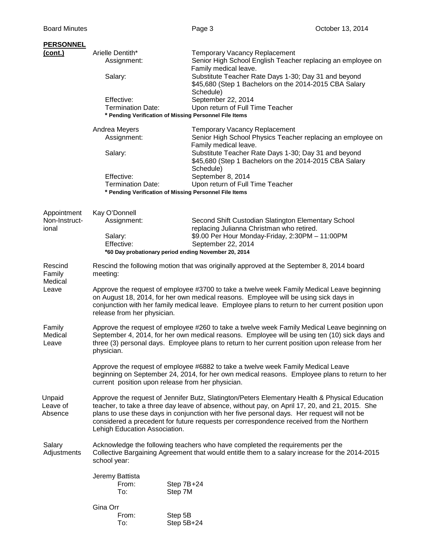| <b>PERSONNEL</b>                      |                                                                                                                                                                                                                                                                                                                                                                                                                               |                                                                                                                                                                                                                                                             |  |  |
|---------------------------------------|-------------------------------------------------------------------------------------------------------------------------------------------------------------------------------------------------------------------------------------------------------------------------------------------------------------------------------------------------------------------------------------------------------------------------------|-------------------------------------------------------------------------------------------------------------------------------------------------------------------------------------------------------------------------------------------------------------|--|--|
| (cont.)                               | Arielle Dentith*<br>Assignment:<br>Salary:                                                                                                                                                                                                                                                                                                                                                                                    | <b>Temporary Vacancy Replacement</b><br>Senior High School English Teacher replacing an employee on<br>Family medical leave.<br>Substitute Teacher Rate Days 1-30; Day 31 and beyond<br>\$45,680 (Step 1 Bachelors on the 2014-2015 CBA Salary<br>Schedule) |  |  |
|                                       | Effective:<br><b>Termination Date:</b>                                                                                                                                                                                                                                                                                                                                                                                        | September 22, 2014<br>Upon return of Full Time Teacher<br>* Pending Verification of Missing Personnel File Items                                                                                                                                            |  |  |
|                                       | Andrea Meyers<br>Assignment:<br>Salary:                                                                                                                                                                                                                                                                                                                                                                                       | <b>Temporary Vacancy Replacement</b><br>Senior High School Physics Teacher replacing an employee on<br>Family medical leave.<br>Substitute Teacher Rate Days 1-30; Day 31 and beyond<br>\$45,680 (Step 1 Bachelors on the 2014-2015 CBA Salary<br>Schedule) |  |  |
|                                       | Effective:<br><b>Termination Date:</b>                                                                                                                                                                                                                                                                                                                                                                                        | September 8, 2014<br>Upon return of Full Time Teacher<br>* Pending Verification of Missing Personnel File Items                                                                                                                                             |  |  |
| Appointment<br>Non-Instruct-<br>ional | Kay O'Donnell<br>Assignment:<br>Salary:<br>Effective:                                                                                                                                                                                                                                                                                                                                                                         | Second Shift Custodian Slatington Elementary School<br>replacing Julianna Christman who retired.<br>\$9.00 Per Hour Monday-Friday, 2:30PM - 11:00PM<br>September 22, 2014<br>*60 Day probationary period ending November 20, 2014                           |  |  |
| Rescind<br>Family<br>Medical          | Rescind the following motion that was originally approved at the September 8, 2014 board<br>meeting:<br>Approve the request of employee #3700 to take a twelve week Family Medical Leave beginning<br>on August 18, 2014, for her own medical reasons. Employee will be using sick days in<br>conjunction with her family medical leave. Employee plans to return to her current position upon<br>release from her physician. |                                                                                                                                                                                                                                                             |  |  |
| Leave                                 |                                                                                                                                                                                                                                                                                                                                                                                                                               |                                                                                                                                                                                                                                                             |  |  |
| Family<br>Medical<br>Leave            | Approve the request of employee #260 to take a twelve week Family Medical Leave beginning on<br>September 4, 2014, for her own medical reasons. Employee will be using ten (10) sick days and<br>three (3) personal days. Employee plans to return to her current position upon release from her<br>physician.                                                                                                                |                                                                                                                                                                                                                                                             |  |  |
|                                       | Approve the request of employee #6882 to take a twelve week Family Medical Leave<br>beginning on September 24, 2014, for her own medical reasons. Employee plans to return to her<br>current position upon release from her physician.                                                                                                                                                                                        |                                                                                                                                                                                                                                                             |  |  |
| Unpaid<br>Leave of<br>Absence         | Approve the request of Jennifer Butz, Slatington/Peters Elementary Health & Physical Education<br>teacher, to take a three day leave of absence, without pay, on April 17, 20, and 21, 2015. She<br>plans to use these days in conjunction with her five personal days. Her request will not be<br>considered a precedent for future requests per correspondence received from the Northern<br>Lehigh Education Association.  |                                                                                                                                                                                                                                                             |  |  |
| Salary<br>Adjustments                 | Acknowledge the following teachers who have completed the requirements per the<br>Collective Bargaining Agreement that would entitle them to a salary increase for the 2014-2015<br>school year:                                                                                                                                                                                                                              |                                                                                                                                                                                                                                                             |  |  |
|                                       | Jeremy Battista<br>From:<br>To:                                                                                                                                                                                                                                                                                                                                                                                               | Step 7B+24<br>Step 7M                                                                                                                                                                                                                                       |  |  |
|                                       | Gina Orr<br>From:<br>To:                                                                                                                                                                                                                                                                                                                                                                                                      | Step 5B<br>Step 5B+24                                                                                                                                                                                                                                       |  |  |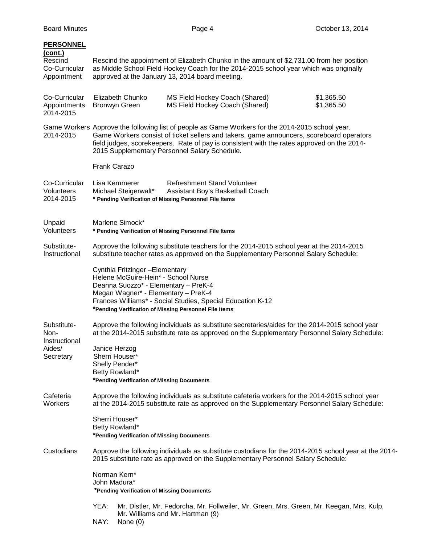| <b>PERSONNEL</b><br>(cont.)<br>Rescind<br>Co-Curricular<br>Appointment                                                                                                                                                  | Rescind the appointment of Elizabeth Chunko in the amount of \$2,731.00 from her position<br>as Middle School Field Hockey Coach for the 2014-2015 school year which was originally<br>approved at the January 13, 2014 board meeting.                                                                                                      |                                                                                                                                                                                                 |                          |  |
|-------------------------------------------------------------------------------------------------------------------------------------------------------------------------------------------------------------------------|---------------------------------------------------------------------------------------------------------------------------------------------------------------------------------------------------------------------------------------------------------------------------------------------------------------------------------------------|-------------------------------------------------------------------------------------------------------------------------------------------------------------------------------------------------|--------------------------|--|
| Co-Curricular<br>Appointments<br>2014-2015                                                                                                                                                                              | Elizabeth Chunko<br><b>Bronwyn Green</b>                                                                                                                                                                                                                                                                                                    | MS Field Hockey Coach (Shared)<br>MS Field Hockey Coach (Shared)                                                                                                                                | \$1,365.50<br>\$1,365.50 |  |
| 2014-2015                                                                                                                                                                                                               | Game Workers Approve the following list of people as Game Workers for the 2014-2015 school year.<br>Game Workers consist of ticket sellers and takers, game announcers, scoreboard operators<br>field judges, scorekeepers. Rate of pay is consistent with the rates approved on the 2014-<br>2015 Supplementary Personnel Salary Schedule. |                                                                                                                                                                                                 |                          |  |
|                                                                                                                                                                                                                         | Frank Carazo                                                                                                                                                                                                                                                                                                                                |                                                                                                                                                                                                 |                          |  |
| Co-Curricular<br>Volunteers<br>2014-2015                                                                                                                                                                                | Lisa Kemmerer<br>Michael Steigerwalt*<br>* Pending Verification of Missing Personnel File Items                                                                                                                                                                                                                                             | <b>Refreshment Stand Volunteer</b><br>Assistant Boy's Basketball Coach                                                                                                                          |                          |  |
| Unpaid<br>Volunteers                                                                                                                                                                                                    | Marlene Simock*<br>* Pending Verification of Missing Personnel File Items                                                                                                                                                                                                                                                                   |                                                                                                                                                                                                 |                          |  |
| Substitute-<br>Instructional                                                                                                                                                                                            | Approve the following substitute teachers for the 2014-2015 school year at the 2014-2015<br>substitute teacher rates as approved on the Supplementary Personnel Salary Schedule:                                                                                                                                                            |                                                                                                                                                                                                 |                          |  |
|                                                                                                                                                                                                                         | Cynthia Fritzinger-Elementary<br>Helene McGuire-Hein* - School Nurse<br>Deanna Suozzo* - Elementary - PreK-4<br>Megan Wagner* - Elementary - PreK-4<br>*Pending Verification of Missing Personnel File Items                                                                                                                                | Frances Williams* - Social Studies, Special Education K-12                                                                                                                                      |                          |  |
| Substitute-<br>Non-<br>Instructional                                                                                                                                                                                    |                                                                                                                                                                                                                                                                                                                                             | Approve the following individuals as substitute secretaries/aides for the 2014-2015 school year<br>at the 2014-2015 substitute rate as approved on the Supplementary Personnel Salary Schedule: |                          |  |
| Aides/<br>Secretary                                                                                                                                                                                                     | Janice Herzog<br>Sherri Houser*<br>Shelly Pender*<br>Betty Rowland*<br>*Pending Verification of Missing Documents                                                                                                                                                                                                                           |                                                                                                                                                                                                 |                          |  |
| Cafeteria<br>Approve the following individuals as substitute cafeteria workers for the 2014-2015 school year<br>Workers<br>at the 2014-2015 substitute rate as approved on the Supplementary Personnel Salary Schedule: |                                                                                                                                                                                                                                                                                                                                             |                                                                                                                                                                                                 |                          |  |
|                                                                                                                                                                                                                         | Sherri Houser*<br>Betty Rowland*<br>*Pending Verification of Missing Documents                                                                                                                                                                                                                                                              |                                                                                                                                                                                                 |                          |  |
| Custodians                                                                                                                                                                                                              |                                                                                                                                                                                                                                                                                                                                             | Approve the following individuals as substitute custodians for the 2014-2015 school year at the 2014-<br>2015 substitute rate as approved on the Supplementary Personnel Salary Schedule:       |                          |  |
|                                                                                                                                                                                                                         | Norman Kern*<br>John Madura*<br>*Pending Verification of Missing Documents                                                                                                                                                                                                                                                                  |                                                                                                                                                                                                 |                          |  |
|                                                                                                                                                                                                                         | YEA:<br>NAY:<br>None $(0)$                                                                                                                                                                                                                                                                                                                  | Mr. Distler, Mr. Fedorcha, Mr. Follweiler, Mr. Green, Mrs. Green, Mr. Keegan, Mrs. Kulp,<br>Mr. Williams and Mr. Hartman (9)                                                                    |                          |  |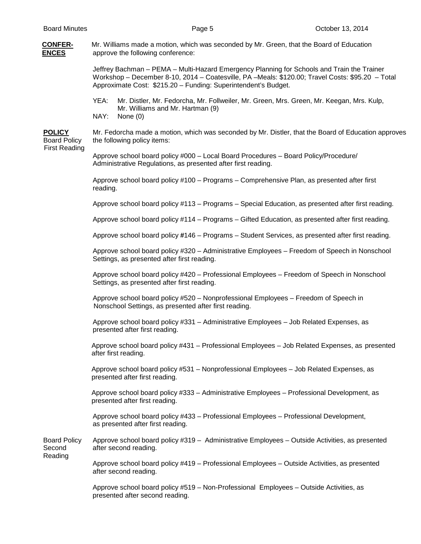## **CONFER-** Mr. Williams made a motion, which was seconded by Mr. Green, that the Board of Education **ENCES** approve the following conference: Jeffrey Bachman – PEMA – Multi-Hazard Emergency Planning for Schools and Train the Trainer Workshop – December 8-10, 2014 – Coatesville, PA –Meals: \$120.00; Travel Costs: \$95.20 – Total Approximate Cost: \$215.20 – Funding: Superintendent's Budget. YEA: Mr. Distler, Mr. Fedorcha, Mr. Follweiler, Mr. Green, Mrs. Green, Mr. Keegan, Mrs. Kulp, Mr. Williams and Mr. Hartman (9) NAY: None (0) **POLICY** Mr. Fedorcha made a motion, which was seconded by Mr. Distler, that the Board of Education approves Board Policy tension the following policy items: First Reading Approve school board policy #000 – Local Board Procedures – Board Policy/Procedure/ Administrative Regulations, as presented after first reading. Approve school board policy #100 – Programs – Comprehensive Plan, as presented after first reading. Approve school board policy #113 – Programs – Special Education, as presented after first reading. Approve school board policy #114 – Programs – Gifted Education, as presented after first reading. Approve school board policy **#**146 – Programs – Student Services, as presented after first reading. Approve school board policy #320 – Administrative Employees – Freedom of Speech in Nonschool Settings, as presented after first reading. Approve school board policy #420 – Professional Employees – Freedom of Speech in Nonschool Settings, as presented after first reading. Approve school board policy #520 – Nonprofessional Employees – Freedom of Speech in Nonschool Settings, as presented after first reading. Approve school board policy #331 – Administrative Employees – Job Related Expenses, as presented after first reading. Approve school board policy #431 – Professional Employees – Job Related Expenses, as presented after first reading. Approve school board policy #531 – Nonprofessional Employees – Job Related Expenses, as presented after first reading. Approve school board policy #333 – Administrative Employees – Professional Development, as presented after first reading. Approve school board policy #433 – Professional Employees – Professional Development, as presented after first reading. Board Policy Approve school board policy #319 – Administrative Employees – Outside Activities, as presented Second after second reading. Reading Approve school board policy #419 – Professional Employees – Outside Activities, as presented after second reading. Approve school board policy #519 – Non-Professional Employees – Outside Activities, as presented after second reading.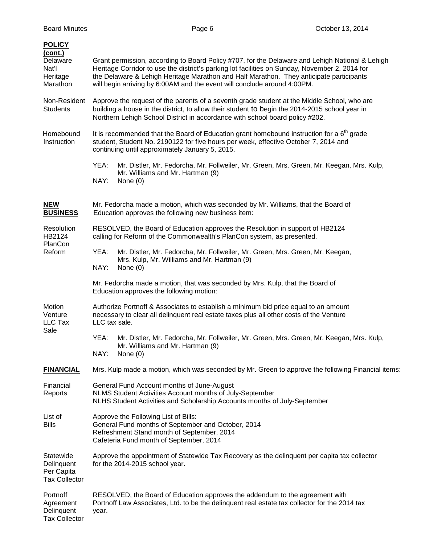| <b>POLICY</b><br>(cont.)<br>Delaware<br>Nat'l<br>Heritage<br>Marathon | Grant permission, according to Board Policy #707, for the Delaware and Lehigh National & Lehigh<br>Heritage Corridor to use the district's parking lot facilities on Sunday, November 2, 2014 for<br>the Delaware & Lehigh Heritage Marathon and Half Marathon. They anticipate participants<br>will begin arriving by 6:00AM and the event will conclude around 4:00PM. |  |  |  |
|-----------------------------------------------------------------------|--------------------------------------------------------------------------------------------------------------------------------------------------------------------------------------------------------------------------------------------------------------------------------------------------------------------------------------------------------------------------|--|--|--|
| Non-Resident<br><b>Students</b>                                       | Approve the request of the parents of a seventh grade student at the Middle School, who are<br>building a house in the district, to allow their student to begin the 2014-2015 school year in<br>Northern Lehigh School District in accordance with school board policy #202.                                                                                            |  |  |  |
| Homebound<br>Instruction                                              | It is recommended that the Board of Education grant homebound instruction for a $6th$ grade<br>student, Student No. 2190122 for five hours per week, effective October 7, 2014 and<br>continuing until approximately January 5, 2015.                                                                                                                                    |  |  |  |
|                                                                       | Mr. Distler, Mr. Fedorcha, Mr. Follweiler, Mr. Green, Mrs. Green, Mr. Keegan, Mrs. Kulp,<br>YEA:<br>Mr. Williams and Mr. Hartman (9)<br>NAY:<br>None $(0)$                                                                                                                                                                                                               |  |  |  |
| <b>NEW</b><br><b>BUSINESS</b>                                         | Mr. Fedorcha made a motion, which was seconded by Mr. Williams, that the Board of<br>Education approves the following new business item:                                                                                                                                                                                                                                 |  |  |  |
| Resolution<br>HB2124<br>PlanCon<br>Reform                             | RESOLVED, the Board of Education approves the Resolution in support of HB2124<br>calling for Reform of the Commonwealth's PlanCon system, as presented.                                                                                                                                                                                                                  |  |  |  |
|                                                                       | Mr. Distler, Mr. Fedorcha, Mr. Follweiler, Mr. Green, Mrs. Green, Mr. Keegan,<br>YEA:<br>Mrs. Kulp, Mr. Williams and Mr. Hartman (9)<br>NAY:<br>None $(0)$                                                                                                                                                                                                               |  |  |  |
|                                                                       | Mr. Fedorcha made a motion, that was seconded by Mrs. Kulp, that the Board of<br>Education approves the following motion:                                                                                                                                                                                                                                                |  |  |  |
| Motion<br>Venture<br>LLC Tax<br>Sale                                  | Authorize Portnoff & Associates to establish a minimum bid price equal to an amount<br>necessary to clear all delinquent real estate taxes plus all other costs of the Venture<br>LLC tax sale.                                                                                                                                                                          |  |  |  |
|                                                                       | YEA:<br>Mr. Distler, Mr. Fedorcha, Mr. Follweiler, Mr. Green, Mrs. Green, Mr. Keegan, Mrs. Kulp,<br>Mr. Williams and Mr. Hartman (9)<br>NAY:<br>None $(0)$                                                                                                                                                                                                               |  |  |  |
| <b>FINANCIAL</b>                                                      | Mrs. Kulp made a motion, which was seconded by Mr. Green to approve the following Financial items:                                                                                                                                                                                                                                                                       |  |  |  |
| Financial<br>Reports                                                  | General Fund Account months of June-August<br>NLMS Student Activities Account months of July-September<br>NLHS Student Activities and Scholarship Accounts months of July-September                                                                                                                                                                                      |  |  |  |
| List of<br><b>Bills</b>                                               | Approve the Following List of Bills:<br>General Fund months of September and October, 2014<br>Refreshment Stand month of September, 2014<br>Cafeteria Fund month of September, 2014                                                                                                                                                                                      |  |  |  |
| Statewide<br>Delinquent<br>Per Capita<br><b>Tax Collector</b>         | Approve the appointment of Statewide Tax Recovery as the delinquent per capita tax collector<br>for the 2014-2015 school year.                                                                                                                                                                                                                                           |  |  |  |
| Portnoff<br>Agreement<br>Delinquent<br><b>Tax Collector</b>           | RESOLVED, the Board of Education approves the addendum to the agreement with<br>Portnoff Law Associates, Ltd. to be the delinquent real estate tax collector for the 2014 tax<br>year.                                                                                                                                                                                   |  |  |  |